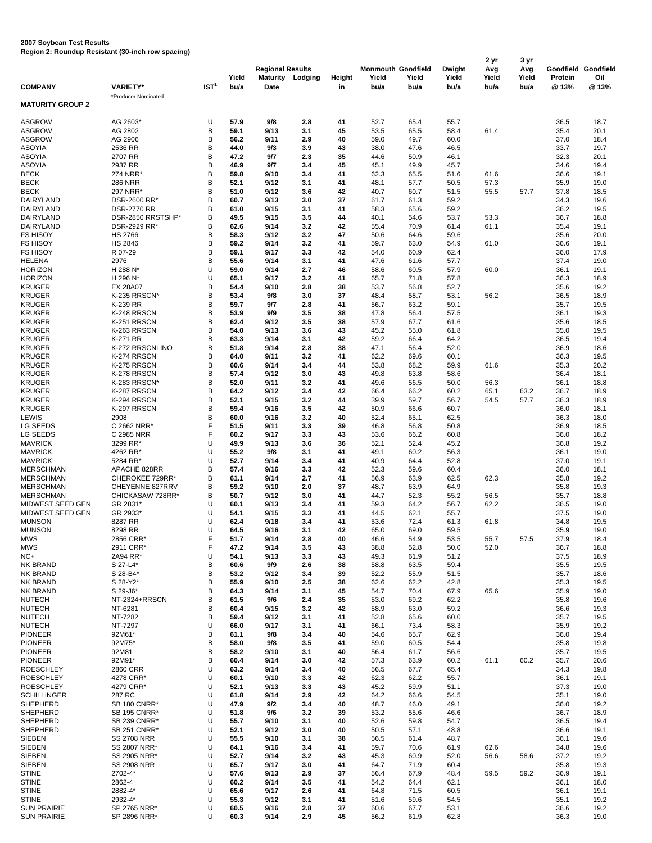## **2007 Soybean Test Results Region 2: Roundup Resistant (30-inch row spacing)**

|                                |                                           |                  |              |                         |            |              | <b>Monmouth Goodfield</b> |               |               | 2 yr          | 3 yr          |                  |                     |
|--------------------------------|-------------------------------------------|------------------|--------------|-------------------------|------------|--------------|---------------------------|---------------|---------------|---------------|---------------|------------------|---------------------|
|                                |                                           |                  | Yield        | <b>Regional Results</b> |            |              | Yield                     |               | Dwight        | Avg           | Avg           |                  | Goodfield Goodfield |
| <b>COMPANY</b>                 | <b>VARIETY*</b>                           | IST <sup>1</sup> | bu/a         | <b>Maturity</b><br>Date | Lodging    | Height<br>in | bu/a                      | Yield<br>bu/a | Yield<br>bu/a | Yield<br>bu/a | Yield<br>bu/a | Protein<br>@ 13% | Oil<br>@13%         |
|                                | *Producer Nominated                       |                  |              |                         |            |              |                           |               |               |               |               |                  |                     |
| <b>MATURITY GROUP 2</b>        |                                           |                  |              |                         |            |              |                           |               |               |               |               |                  |                     |
|                                |                                           |                  |              |                         |            |              |                           |               |               |               |               |                  |                     |
| <b>ASGROW</b>                  | AG 2603*                                  | U                | 57.9         | 9/8                     | 2.8        | 41           | 52.7                      | 65.4          | 55.7          |               |               | 36.5             | 18.7                |
| <b>ASGROW</b>                  | AG 2802                                   | B                | 59.1         | 9/13                    | 3.1        | 45           | 53.5                      | 65.5          | 58.4          | 61.4          |               | 35.4             | 20.1                |
| <b>ASGROW</b>                  | AG 2906<br>2536 RR                        | B<br>B           | 56.2<br>44.0 | 9/11<br>9/3             | 2.9<br>3.9 | 40<br>43     | 59.0<br>38.0              | 49.7<br>47.6  | 60.0<br>46.5  |               |               | 37.0<br>33.7     | 18.4<br>19.7        |
| ASOYIA                         | 2707 RR                                   | B                | 47.2         | 9/7                     | 2.3        | 35           | 44.6                      | 50.9          |               |               |               | 32.3             | 20.1                |
| <b>ASOYIA</b><br><b>ASOYIA</b> | 2937 RR                                   | B                | 46.9         | 9/7                     | 3.4        | 45           | 45.1                      | 49.9          | 46.1<br>45.7  |               |               | 34.6             | 19.4                |
| <b>BECK</b>                    | 274 NRR*                                  | B                | 59.8         | 9/10                    | 3.4        | 41           | 62.3                      | 65.5          | 51.6          | 61.6          |               | 36.6             | 19.1                |
| <b>BECK</b>                    | <b>286 NRR</b>                            | B                | 52.1         | 9/12                    | 3.1        | 41           | 48.1                      | 57.7          | 50.5          | 57.3          |               | 35.9             | 19.0                |
| <b>BECK</b>                    | 297 NRR'                                  | B                | 51.0         | 9/12                    | 3.6        | 42           | 40.7                      | 60.7          | 51.5          | 55.5          | 57.7          | 37.8             | 18.5                |
| <b>DAIRYLAND</b>               | DSR-2600 RR*                              | B                | 60.7         | 9/13                    | 3.0        | 37           | 61.7                      | 61.3          | 59.2          |               |               | 34.3             | 19.6                |
| DAIRYLAND                      | <b>DSR-2770 RR</b>                        | B                | 61.0         | 9/15                    | 3.1        | 41           | 58.3                      | 65.6          | 59.2          |               |               | 36.2             | 19.5                |
| DAIRYLAND                      | DSR-2850 RRSTSHP*                         | B                | 49.5         | 9/15                    | 3.5        | 44           | 40.1                      | 54.6          | 53.7          | 53.3          |               | 36.7             | 18.8                |
| DAIRYLAND                      | DSR-2929 RR*                              | B                | 62.6         | 9/14                    | 3.2        | 42           | 55.4                      | 70.9          | 61.4          | 61.1          |               | 35.4             | 19.1                |
| <b>FS HISOY</b>                | <b>HS 2766</b>                            | B                | 58.3         | 9/12                    | 3.2        | 47           | 50.6                      | 64.6          | 59.6          |               |               | 35.6             | 20.0                |
| <b>FS HISOY</b>                | <b>HS 2846</b>                            | B                | 59.2         | 9/14                    | 3.2        | 41           | 59.7                      | 63.0          | 54.9          | 61.0          |               | 36.6             | 19.1                |
| <b>FS HISOY</b>                | R 07-29                                   | B                | 59.1         | 9/17                    | 3.3        | 42           | 54.0                      | 60.9          | 62.4          |               |               | 36.0             | 17.9                |
| HELENA                         | 2976                                      | B                | 55.6         | 9/14                    | 3.1        | 41           | 47.6                      | 61.6          | 57.7          |               |               | 37.4             | 19.0                |
| <b>HORIZON</b>                 | H 288 N*                                  | U                | 59.0         | 9/14                    | 2.7        | 46           | 58.6                      | 60.5          | 57.9          | 60.0          |               | 36.1             | 19.1                |
| <b>HORIZON</b>                 | H 296 N*                                  | U                | 65.1         | 9/17                    | 3.2        | 41           | 65.7                      | 71.8          | 57.8          |               |               | 36.3             | 18.9                |
| <b>KRUGER</b>                  | <b>EX 28A07</b>                           | B                | 54.4         | 9/10                    | 2.8        | 38           | 53.7                      | 56.8          | 52.7          |               |               | 35.6             | 19.2                |
| <b>KRUGER</b>                  | K-235 RRSCN*                              | B                | 53.4         | 9/8                     | 3.0        | 37           | 48.4                      | 58.7          | 53.1          | 56.2          |               | 36.5             | 18.9                |
| <b>KRUGER</b>                  | K-239 RR                                  | B                | 59.7         | 9/7                     | 2.8        | 41           | 56.7                      | 63.2          | 59.1          |               |               | 35.7             | 19.5                |
| <b>KRUGER</b>                  | K-248 RRSCN                               | B                | 53.9         | 9/9                     | 3.5        | 38           | 47.8                      | 56.4          | 57.5          |               |               | 36.1             | 19.3                |
| <b>KRUGER</b>                  | K-251 RRSCN                               | B                | 62.4         | 9/12                    | 3.5        | 38           | 57.9                      | 67.7          | 61.6          |               |               | 35.6             | 18.5                |
| <b>KRUGER</b>                  | K-263 RRSCN<br>K-271 RR                   | B                | 54.0         | 9/13                    | 3.6        | 43           | 45.2                      | 55.0          | 61.8          |               |               | 35.0             | 19.5                |
| <b>KRUGER</b>                  |                                           | B<br>B           | 63.3         | 9/14                    | 3.1<br>2.8 | 42<br>38     | 59.2                      | 66.4          | 64.2          |               |               | 36.5             | 19.4                |
| <b>KRUGER</b><br><b>KRUGER</b> | K-272 RRSCNLINO<br>K-274 RRSCN            | B                | 51.8<br>64.0 | 9/14<br>9/11            | 3.2        | 41           | 47.1<br>62.2              | 56.4<br>69.6  | 52.0<br>60.1  |               |               | 36.9<br>36.3     | 18.6<br>19.5        |
| <b>KRUGER</b>                  | K-275 RRSCN                               | B                | 60.6         | 9/14                    | 3.4        | 44           | 53.8                      | 68.2          | 59.9          | 61.6          |               | 35.3             | 20.2                |
| <b>KRUGER</b>                  | K-278 RRSCN                               | B                | 57.4         | 9/12                    | 3.0        | 43           | 49.8                      | 63.8          | 58.6          |               |               | 36.4             | 18.1                |
| <b>KRUGER</b>                  | K-283 RRSCN*                              | B                | 52.0         | 9/11                    | 3.2        | 41           | 49.6                      | 56.5          | 50.0          | 56.3          |               | 36.1             | 18.8                |
| <b>KRUGER</b>                  | K-287 RRSCN                               | B                | 64.2         | 9/12                    | 3.4        | 42           | 66.4                      | 66.2          | 60.2          | 65.1          | 63.2          | 36.7             | 18.9                |
| <b>KRUGER</b>                  | K-294 RRSCN                               | B                | 52.1         | 9/15                    | 3.2        | 44           | 39.9                      | 59.7          | 56.7          | 54.5          | 57.7          | 36.3             | 18.9                |
| <b>KRUGER</b>                  | K-297 RRSCN                               | B                | 59.4         | 9/16                    | 3.5        | 42           | 50.9                      | 66.6          | 60.7          |               |               | 36.0             | 18.1                |
| LEWIS                          | 2908                                      | B                | 60.0         | 9/16                    | 3.2        | 40           | 52.4                      | 65.1          | 62.5          |               |               | 36.3             | 18.0                |
| LG SEEDS                       | C 2662 NRR*                               | F                | 51.5         | 9/11                    | 3.3        | 39           | 46.8                      | 56.8          | 50.8          |               |               | 36.9             | 18.5                |
| LG SEEDS                       | C 2985 NRR                                | F                | 60.2         | 9/17                    | 3.3        | 43           | 53.6                      | 66.2          | 60.8          |               |               | 36.0             | 18.2                |
| <b>MAVRICK</b>                 | 3299 RR*                                  | U                | 49.9         | 9/13                    | 3.6        | 36           | 52.1                      | 52.4          | 45.2          |               |               | 36.8             | 19.2                |
| <b>MAVRICK</b>                 | 4262 RR*                                  | U                | 55.2         | 9/8                     | 3.1        | 41           | 49.1                      | 60.2          | 56.3          |               |               | 36.1             | 19.0                |
| <b>MAVRICK</b>                 | 5284 RR*                                  | U                | 52.7         | 9/14                    | 3.4        | 41           | 40.9                      | 64.4          | 52.8          |               |               | 37.0             | 19.1                |
| <b>MERSCHMAN</b>               | APACHE 828RR                              | B                | 57.4         | 9/16                    | 3.3        | 42           | 52.3                      | 59.6          | 60.4          |               |               | 36.0             | 18.1                |
| <b>MERSCHMAN</b>               | CHEROKEE 729RR*                           | B                | 61.1         | 9/14                    | 2.7        | 41           | 56.9                      | 63.9          | 62.5          | 62.3          |               | 35.8             | 19.2                |
| <b>MERSCHMAN</b>               | CHEYENNE 827RRV                           | В                | 59.2         | 9/10                    | 2.0        | 37           | 48.7                      | 63.9          | 64.9          |               |               | 35.8             | 19.3                |
| <b>MERSCHMAN</b>               | CHICKASAW 728RR*                          | B                | 50.7         | 9/12                    | 3.0        | 41           | 44.7                      | 52.3          | 55.2          | 56.5          |               | 35.7             | 18.8                |
| MIDWEST SEED GEN               | GR 2831'                                  | U                | 60.1         | 9/13                    | 3.4        | 41           | 59.3                      | 64.2          | 56.7          | 62.2          |               | 36.5             | 19.0                |
| MIDWEST SEED GEN               | GR 2933*                                  | U                | 54.1         | 9/15                    | 3.3        | 41           | 44.5                      | 62.1          | 55.7          |               |               | 37.5             | 19.0                |
| <b>MUNSON</b>                  | 8287 RR                                   | U<br>U           | 62.4<br>64.5 | 9/18                    | 3.4<br>3.1 | 41           | 53.6                      | 72.4          | 61.3          | 61.8          |               | 34.8             | 19.5                |
| <b>MUNSON</b><br><b>MWS</b>    | 8298 RR<br>2856 CRR*                      |                  | 51.7         | 9/16<br>9/14            | 2.8        | 42<br>40     | 65.0<br>46.6              | 69.0<br>54.9  | 59.5<br>53.5  | 55.7          | 57.5          | 35.9<br>37.9     | 19.0<br>18.4        |
| <b>MWS</b>                     | 2911 CRR*                                 | F                | 47.2         | 9/14                    | 3.5        | 43           | 38.8                      | 52.8          | 50.0          | 52.0          |               | 36.7             | 18.8                |
| $NC+$                          | 2A94 RR*                                  | U                | 54.1         | 9/13                    | 3.3        | 43           | 49.3                      | 61.9          | 51.2          |               |               | 37.5             | 18.9                |
| <b>NK BRAND</b>                | S 27-L4*                                  | B                | 60.6         | 9/9                     | 2.6        | 38           | 58.8                      | 63.5          | 59.4          |               |               | 35.5             | 19.5                |
| <b>NK BRAND</b>                | S 28-B4*                                  | B                | 53.2         | 9/12                    | 3.4        | 39           | 52.2                      | 55.9          | 51.5          |               |               | 35.7             | 18.6                |
| <b>NK BRAND</b>                | S 28-Y2*                                  | B                | 55.9         | 9/10                    | 2.5        | 38           | 62.6                      | 62.2          | 42.8          |               |               | 35.3             | 19.5                |
| NK BRAND                       | S 29-J6*                                  | B                | 64.3         | 9/14                    | 3.1        | 45           | 54.7                      | 70.4          | 67.9          | 65.6          |               | 35.9             | 19.0                |
| <b>NUTECH</b>                  | NT-2324+RRSCN                             | B                | 61.5         | 9/6                     | 2.4        | 35           | 53.0                      | 69.2          | 62.2          |               |               | 35.8             | 19.6                |
| <b>NUTECH</b>                  | NT-6281                                   | B                | 60.4         | 9/15                    | 3.2        | 42           | 58.9                      | 63.0          | 59.2          |               |               | 36.6             | 19.3                |
| <b>NUTECH</b>                  | NT-7282                                   | B                | 59.4         | 9/12                    | 3.1        | 41           | 52.8                      | 65.6          | 60.0          |               |               | 35.7             | 19.5                |
| <b>NUTECH</b>                  | NT-7297                                   | U                | 66.0         | 9/17                    | 3.1        | 41           | 66.1                      | 73.4          | 58.3          |               |               | 35.9             | 19.2                |
| <b>PIONEER</b>                 | 92M61*                                    | B                | 61.1         | 9/8                     | 3.4        | 40           | 54.6                      | 65.7          | 62.9          |               |               | 36.0             | 19.4                |
| <b>PIONEER</b>                 | 92M75*                                    | B                | 58.0         | 9/8                     | 3.5        | 41           | 59.0                      | 60.5          | 54.4          |               |               | 35.8             | 19.8                |
| <b>PIONEER</b>                 | 92M81                                     | B                | 58.2         | 9/10                    | 3.1        | 40           | 56.4                      | 61.7          | 56.6          |               |               | 35.7             | 19.5                |
| <b>PIONEER</b>                 | 92M91*                                    | B                | 60.4         | 9/14                    | 3.0        | 42           | 57.3                      | 63.9          | 60.2          | 61.1          | 60.2          | 35.7             | 20.6                |
| <b>ROESCHLEY</b>               | 2860 CRR                                  | U                | 63.2         | 9/14                    | 3.4        | 40           | 56.5                      | 67.7          | 65.4          |               |               | 34.3             | 19.8                |
| <b>ROESCHLEY</b>               | 4278 CRR*                                 | U                | 60.1         | 9/10                    | 3.3        | 42           | 62.3                      | 62.2          | 55.7          |               |               | 36.1             | 19.1                |
| <b>ROESCHLEY</b>               | 4279 CRR*                                 | U                | 52.1         | 9/13                    | 3.3        | 43           | 45.2                      | 59.9          | 51.1          |               |               | 37.3             | 19.0                |
| <b>SCHILLINGER</b>             | 287.RC                                    | U                | 61.8         | 9/14                    | 2.9        | 42           | 64.2                      | 66.6          | 54.5          |               |               | 35.1             | 19.0                |
| SHEPHERD                       | <b>SB 180 CNRR*</b>                       | U                | 47.9         | 9/2                     | 3.4        | 40           | 48.7                      | 46.0          | 49.1          |               |               | 36.0             | 19.2                |
| <b>SHEPHERD</b><br>SHEPHERD    | <b>SB 195 CNRR*</b>                       | U<br>U           | 51.8<br>55.7 | 9/6<br>9/10             | 3.2<br>3.1 | 39<br>40     | 53.2<br>52.6              | 55.6<br>59.8  | 46.6          |               |               | 36.7             | 18.9                |
| SHEPHERD                       | <b>SB 239 CNRR*</b>                       | U                | 52.1         | 9/12                    | 3.0        | 40           |                           |               | 54.7          |               |               | 36.5             | 19.4<br>19.1        |
| <b>SIEBEN</b>                  | <b>SB 251 CNRR*</b>                       | U                | 55.5         | 9/10                    | 3.1        | 38           | 50.5<br>56.5              | 57.1          | 48.8          |               |               | 36.6<br>36.1     | 19.6                |
| <b>SIEBEN</b>                  | <b>SS 2708 NRR</b><br><b>SS 2807 NRR*</b> | U                | 64.1         | 9/16                    | 3.4        | 41           | 59.7                      | 61.4<br>70.6  | 48.7<br>61.9  | 62.6          |               | 34.8             | 19.6                |
| <b>SIEBEN</b>                  | SS 2905 NRR*                              | U                | 52.7         | 9/14                    | 3.2        | 43           | 45.3                      | 60.9          | 52.0          | 56.6          | 58.6          | 37.2             | 19.2                |
| <b>SIEBEN</b>                  | <b>SS 2908 NRR</b>                        | U                | 65.7         | 9/17                    | 3.0        | 41           | 64.7                      | 71.9          | 60.4          |               |               | 35.8             | 19.3                |
| <b>STINE</b>                   | 2702-4*                                   | U                | 57.6         | 9/13                    | 2.9        | 37           | 56.4                      | 67.9          | 48.4          | 59.5          | 59.2          | 36.9             | 19.1                |
| <b>STINE</b>                   | 2862-4                                    | U                | 60.2         | 9/14                    | 3.5        | 41           | 54.2                      | 64.4          | 62.1          |               |               | 36.1             | 18.0                |
| <b>STINE</b>                   | 2882-4*                                   | U                | 65.6         | 9/17                    | 2.6        | 41           | 64.8                      | 71.5          | 60.5          |               |               | 36.1             | 19.1                |
| <b>STINE</b>                   | 2932-4*                                   | U                | 55.3         | 9/12                    | 3.1        | 41           | 51.6                      | 59.6          | 54.5          |               |               | 35.1             | 19.2                |
| <b>SUN PRAIRIE</b>             | SP 2765 NRR*                              | U                | 60.5         | 9/16                    | 2.8        | 37           | 60.6                      | 67.7          | 53.1          |               |               | 36.6             | 19.2                |
| <b>SUN PRAIRIE</b>             | SP 2896 NRR*                              | U                | 60.3         | 9/14                    | 2.9        | 45           | 56.2                      | 61.9          | 62.8          |               |               | 36.3             | 19.0                |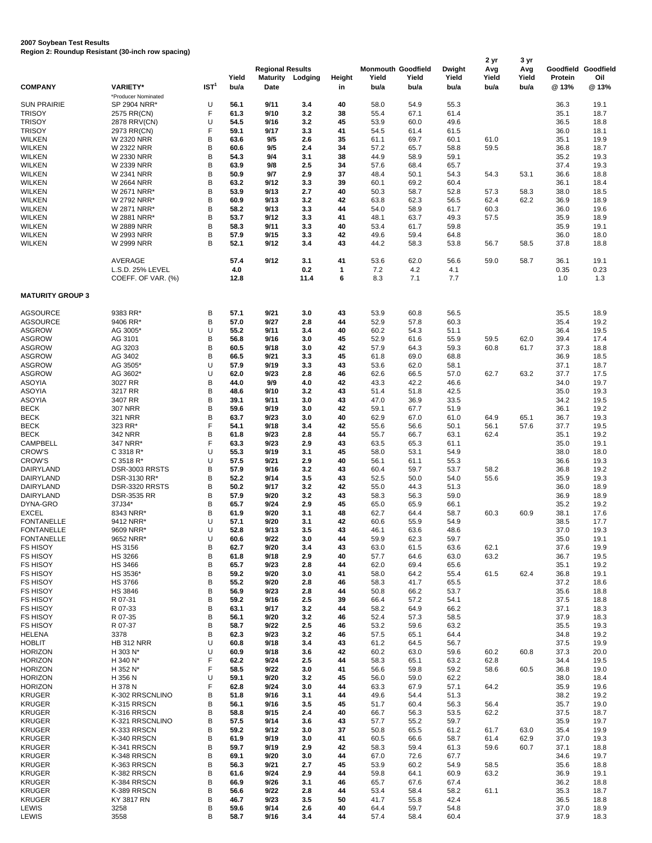## **2007 Soybean Test Results Region 2: Roundup Resistant (30-inch row spacing)**

| <b>COMPANY</b>                 | <b>VARIETY*</b>                        | IST <sup>1</sup> | Yield<br>bu/a | <b>Regional Results</b><br><b>Maturity</b><br>Date | Lodging     | Height<br>in | Yield<br>bu/a | <b>Monmouth Goodfield</b><br>Yield<br>bu/a | Dwight<br>Yield<br>bu/a | 2 yr<br>Avg<br>Yield<br>bu/a | 3 yr<br>Avg<br>Yield<br>bu/a | Goodfield<br>Protein<br>@ 13% | Goodfield<br>Oil<br>@13% |
|--------------------------------|----------------------------------------|------------------|---------------|----------------------------------------------------|-------------|--------------|---------------|--------------------------------------------|-------------------------|------------------------------|------------------------------|-------------------------------|--------------------------|
|                                | *Producer Nominated                    |                  |               |                                                    |             |              |               |                                            |                         |                              |                              |                               |                          |
| <b>SUN PRAIRIE</b>             | SP 2904 NRR*                           | U                | 56.1          | 9/11                                               | 3.4         | 40           | 58.0          | 54.9                                       | 55.3                    |                              |                              | 36.3                          | 19.1                     |
| <b>TRISOY</b>                  | 2575 RR(CN)                            | F                | 61.3          | 9/10                                               | 3.2         | 38           | 55.4          | 67.1                                       | 61.4                    |                              |                              | 35.1                          | 18.7                     |
| <b>TRISOY</b>                  | 2878 RRV(CN)                           | U                | 54.5          | 9/16                                               | 3.2         | 45           | 53.9          | 60.0                                       | 49.6                    |                              |                              | 36.5                          | 18.8                     |
| <b>TRISOY</b>                  | 2973 RR(CN)                            | F                | 59.1          | 9/17                                               | 3.3         | 41           | 54.5          | 61.4                                       | 61.5                    |                              |                              | 36.0                          | 18.1                     |
| <b>WILKEN</b>                  | W 2320 NRR                             | B                | 63.6          | 9/5                                                | 2.6         | 35           | 61.1          | 69.7                                       | 60.1                    | 61.0                         |                              | 35.1                          | 19.9                     |
| WILKEN                         | W 2322 NRR                             | B                | 60.6          | 9/5                                                | 2.4         | 34           | 57.2          | 65.7                                       | 58.8                    | 59.5                         |                              | 36.8                          | 18.7                     |
| <b>WILKEN</b>                  | W 2330 NRR                             | B                | 54.3          | 9/4                                                | 3.1         | 38           | 44.9          | 58.9                                       | 59.1                    |                              |                              | 35.2                          | 19.3                     |
| WILKEN                         | W 2339 NRR                             | B<br>B           | 63.9          | 9/8                                                | 2.5         | 34           | 57.6          | 68.4                                       | 65.7                    |                              |                              | 37.4                          | 19.3                     |
| <b>WILKEN</b><br><b>WILKEN</b> | W 2341 NRR<br><b>W 2664 NRR</b>        | B                | 50.9<br>63.2  | 9/7<br>9/12                                        | 2.9<br>3.3  | 37<br>39     | 48.4<br>60.1  | 50.1<br>69.2                               | 54.3<br>60.4            | 54.3                         | 53.1                         | 36.6<br>36.1                  | 18.8<br>18.4             |
| <b>WILKEN</b>                  | W 2671 NRR*                            | B                | 53.9          | 9/13                                               | 2.7         | 40           | 50.3          | 58.7                                       | 52.8                    | 57.3                         | 58.3                         | 38.0                          | 18.5                     |
| <b>WILKEN</b>                  | W 2792 NRR*                            | B                | 60.9          | 9/13                                               | 3.2         | 42           | 63.8          | 62.3                                       | 56.5                    | 62.4                         | 62.2                         | 36.9                          | 18.9                     |
| <b>WILKEN</b>                  | W 2871 NRR*                            | B                | 58.2          | 9/13                                               | 3.3         | 44           | 54.0          | 58.9                                       | 61.7                    | 60.3                         |                              | 36.0                          | 19.6                     |
| <b>WILKEN</b>                  | W 2881 NRR*                            | B                | 53.7          | 9/12                                               | 3.3         | 41           | 48.1          | 63.7                                       | 49.3                    | 57.5                         |                              | 35.9                          | 18.9                     |
| <b>WILKEN</b>                  | <b>W 2889 NRR</b>                      | B                | 58.3          | 9/11                                               | 3.3         | 40           | 53.4          | 61.7                                       | 59.8                    |                              |                              | 35.9                          | 19.1                     |
| <b>WILKEN</b>                  | W 2993 NRR                             | B                | 57.9          | 9/15                                               | 3.3         | 42           | 49.6          | 59.4                                       | 64.8                    |                              |                              | 36.0                          | 18.0                     |
| <b>WILKEN</b>                  | W 2999 NRR                             | B                | 52.1          | 9/12                                               | 3.4         | 43           | 44.2          | 58.3                                       | 53.8                    | 56.7                         | 58.5                         | 37.8                          | 18.8                     |
|                                | AVERAGE                                |                  | 57.4          | 9/12                                               | 3.1         | 41           | 53.6          | 62.0                                       | 56.6                    | 59.0                         | 58.7                         | 36.1                          | 19.1                     |
|                                | L.S.D. 25% LEVEL<br>COEFF. OF VAR. (%) |                  | 4.0<br>12.8   |                                                    | 0.2<br>11.4 | 1<br>6       | 7.2<br>8.3    | 4.2<br>7.1                                 | 4.1<br>7.7              |                              |                              | 0.35<br>1.0                   | 0.23<br>1.3              |
| <b>MATURITY GROUP 3</b>        |                                        |                  |               |                                                    |             |              |               |                                            |                         |                              |                              |                               |                          |
| <b>AGSOURCE</b>                | 9383 RR*                               | В                | 57.1          | 9/21                                               | 3.0         | 43           | 53.9          | 60.8                                       | 56.5                    |                              |                              | 35.5                          | 18.9                     |
| <b>AGSOURCE</b>                | 9406 RR*                               | B                | 57.0          | 9/27                                               | 2.8         | 44           | 52.9          | 57.8                                       | 60.3                    |                              |                              | 35.4                          | 19.2                     |
| <b>ASGROW</b>                  | AG 3005'                               | U                | 55.2          | 9/11                                               | 3.4         | 40           | 60.2          | 54.3                                       | 51.1                    |                              |                              | 36.4                          | 19.5                     |
| <b>ASGROW</b>                  | AG 3101                                | B                | 56.8          | 9/16                                               | 3.0         | 45           | 52.9          | 61.6                                       | 55.9                    | 59.5                         | 62.0                         | 39.4                          | 17.4                     |
| <b>ASGROW</b>                  | AG 3203                                | B                | 60.5          | 9/18                                               | 3.0         | 42           | 57.9          | 64.3                                       | 59.3                    | 60.8                         | 61.7                         | 37.3                          | 18.8                     |
| <b>ASGROW</b>                  | AG 3402                                | B                | 66.5          | 9/21                                               | 3.3         | 45           | 61.8          | 69.0                                       | 68.8                    |                              |                              | 36.9                          | 18.5                     |
| <b>ASGROW</b>                  | AG 3505'                               | U                | 57.9          | 9/19                                               | 3.3         | 43           | 53.6          | 62.0                                       | 58.1                    |                              |                              | 37.1                          | 18.7                     |
| <b>ASGROW</b>                  | AG 3602*                               | U                | 62.0          | 9/23                                               | 2.8         | 46           | 62.6          | 66.5                                       | 57.0                    | 62.7                         | 63.2                         | 37.7                          | 17.5                     |
| <b>ASOYIA</b>                  | 3027 RR                                | B                | 44.0          | 9/9                                                | 4.0         | 42           | 43.3          | 42.2                                       | 46.6                    |                              |                              | 34.0                          | 19.7                     |
| <b>ASOYIA</b>                  | 3217 RR                                | B                | 48.6          | 9/10                                               | 3.2         | 43           | 51.4          | 51.8                                       | 42.5                    |                              |                              | 35.0                          | 19.3                     |
| <b>ASOYIA</b>                  | 3407 RR                                | B                | 39.1          | 9/11                                               | 3.0         | 43           | 47.0          | 36.9                                       | 33.5                    |                              |                              | 34.2                          | 19.5                     |
| <b>BECK</b>                    | <b>307 NRR</b>                         | B<br>B           | 59.6          | 9/19                                               | 3.0         | 42           | 59.1          | 67.7                                       | 51.9                    |                              |                              | 36.1                          | 19.2                     |
| <b>BECK</b>                    | 321 NRR                                | F                | 63.7<br>54.1  | 9/23                                               | 3.0         | 40           | 62.9          | 67.0                                       | 61.0                    | 64.9                         | 65.1                         | 36.7                          | 19.3                     |
| <b>BECK</b><br><b>BECK</b>     | 323 RR*<br>342 NRR                     | B                | 61.8          | 9/18<br>9/23                                       | 3.4<br>2.8  | 42<br>44     | 55.6<br>55.7  | 56.6<br>66.7                               | 50.1<br>63.1            | 56.1<br>62.4                 | 57.6                         | 37.7<br>35.1                  | 19.5<br>19.2             |
| <b>CAMPBELL</b>                | 347 NRR*                               | F                | 63.3          | 9/23                                               | 2.9         | 43           | 63.5          | 65.3                                       | 61.1                    |                              |                              | 35.0                          | 19.1                     |
| <b>CROW'S</b>                  | C 3318 R*                              | U                | 55.3          | 9/19                                               | 3.1         | 45           | 58.0          | 53.1                                       | 54.9                    |                              |                              | 38.0                          | 18.0                     |
| <b>CROW'S</b>                  | C 3518 R*                              | U                | 57.5          | 9/21                                               | 2.9         | 40           | 56.1          | 61.1                                       | 55.3                    |                              |                              | 36.6                          | 19.3                     |
| <b>DAIRYLAND</b>               | DSR-3003 RRSTS                         | B                | 57.9          | 9/16                                               | 3.2         | 43           | 60.4          | 59.7                                       | 53.7                    | 58.2                         |                              | 36.8                          | 19.2                     |
| DAIRYLAND                      | DSR-3130 RR*                           | B                | 52.2          | 9/14                                               | 3.5         | 43           | 52.5          | 50.0                                       | 54.0                    | 55.6                         |                              | 35.9                          | 19.3                     |
| DAIRYLAND                      | DSR-3320 RRSTS                         | B                | 50.2          | 9/17                                               | 3.2         | 42           | 55.0          | 44.3                                       | 51.3                    |                              |                              | 36.0                          | 18.9                     |
| DAIRYLAND                      | <b>DSR-3535 RR</b>                     | B                | 57.9          | 9/20                                               | 3.2         | 43           | 58.3          | 56.3                                       | 59.0                    |                              |                              | 36.9                          | 18.9                     |
| DYNA-GRO                       | 37J34*                                 | B                | 65.7          | 9/24                                               | 2.9         | 45           | 65.0          | 65.9                                       | 66.1                    |                              |                              | 35.2                          | 19.2                     |
| <b>EXCEL</b>                   | 8343 NRR*                              | B                | 61.9          | 9/20                                               | 3.1         | 48           | 62.7          | 64.4                                       | 58.7                    | 60.3                         | 60.9                         | 38.1                          | 17.6                     |
| <b>FONTANELLE</b>              | 9412 NRR*                              | U                | 57.1          | 9/20                                               | 3.1         | 42           | 60.6          | 55.9                                       | 54.9                    |                              |                              | 38.5                          | 17.7                     |
| <b>FONTANELLE</b>              | 9609 NRR*                              | U                | 52.8          | 9/13                                               | 3.5         | 43           | 46.1          | 63.6                                       | 48.6                    |                              |                              | 37.0                          | 19.3                     |
| <b>FONTANELLE</b>              | 9652 NRR'                              | U                | 60.6          | 9/22                                               | 3.0         | 44           | 59.9          | 62.3                                       | 59.7                    |                              |                              | 35.0                          | 19.1                     |
| <b>FS HISOY</b>                | HS 3156                                | B                | 62.7          | 9/20                                               | 3.4         | 43           | 63.0          | 61.5                                       | 63.6                    | 62.1                         |                              | 37.6                          | 19.9                     |
| <b>FS HISOY</b>                | <b>HS 3266</b>                         | В                | 61.8          | 9/18                                               | 2.9         | 40           | 57.7          | 64.6                                       | 63.0                    | 63.2                         |                              | 36.7                          | 19.5                     |
| <b>FS HISOY</b>                | <b>HS 3466</b>                         | B                | 65.7          | 9/23                                               | 2.8         | 44           | 62.0          | 69.4                                       | 65.6                    |                              |                              | 35.1                          | 19.2                     |
| <b>FS HISOY</b>                | HS 3536*                               | B                | 59.2          | 9/20                                               | 3.0         | 41           | 58.0          | 64.2                                       | 55.4                    | 61.5                         | 62.4                         | 36.8                          | 19.1                     |
| <b>FS HISOY</b>                | <b>HS 3766</b>                         | B                | 55.2          | 9/20                                               | 2.8         | 46           | 58.3          | 41.7                                       | 65.5                    |                              |                              | 37.2                          | 18.6                     |
| <b>FS HISOY</b>                | <b>HS 3846</b>                         | B                | 56.9          | 9/23                                               | 2.8         | 44           | 50.8          | 66.2                                       | 53.7                    |                              |                              | 35.6                          | 18.8                     |
| <b>FS HISOY</b>                | R 07-31                                | B                | 59.2          | 9/16                                               | 2.5         | 39           | 66.4          | 57.2                                       | 54.1                    |                              |                              | 37.5                          | 18.8                     |
| <b>FS HISOY</b>                | R 07-33                                | B                | 63.1          | 9/17                                               | 3.2         | 44           | 58.2          | 64.9                                       | 66.2                    |                              |                              | 37.1                          | 18.3                     |
| <b>FS HISOY</b>                | R 07-35                                | B                | 56.1          | 9/20                                               | 3.2         | 46           | 52.4          | 57.3                                       | 58.5                    |                              |                              | 37.9                          | 18.3                     |
| <b>FS HISOY</b>                | R 07-37                                | B                | 58.7          | 9/22                                               | 2.5         | 46           | 53.2          | 59.6                                       | 63.2                    |                              |                              | 35.5                          | 19.3                     |
| <b>HELENA</b>                  | 3378                                   | B                | 62.3          | 9/23                                               | 3.2         | 46           | 57.5          | 65.1                                       | 64.4                    |                              |                              | 34.8                          | 19.2                     |
| <b>HOBLIT</b>                  | <b>HB 312 NRR</b>                      | U                | 60.8          | 9/18                                               | 3.4         | 43           | 61.2          | 64.5                                       | 56.7                    |                              |                              | 37.5                          | 19.9                     |
| <b>HORIZON</b>                 | H 303 N*                               | U                | 60.9          | 9/18                                               | 3.6         | 42           | 60.2          | 63.0                                       | 59.6                    | 60.2                         | 60.8                         | 37.3                          | 20.0                     |
| <b>HORIZON</b>                 | H 340 N*                               | F                | 62.2          | 9/24                                               | 2.5         | 44           | 58.3          | 65.1                                       | 63.2                    | 62.8                         |                              | 34.4                          | 19.5                     |
| <b>HORIZON</b>                 | H 352 N*                               | F                | 58.5          | 9/22                                               | 3.0         | 41           | 56.6          | 59.8                                       | 59.2                    | 58.6                         | 60.5                         | 36.8                          | 19.0                     |
| <b>HORIZON</b>                 | H 356 N                                | U                | 59.1          | 9/20                                               | 3.2         | 45           | 56.0          | 59.0                                       | 62.2                    |                              |                              | 38.0                          | 18.4                     |
| <b>HORIZON</b>                 | H 378 N                                | F                | 62.8          | 9/24                                               | 3.0         | 44           | 63.3          | 67.9                                       | 57.1                    | 64.2                         |                              | 35.9                          | 19.6                     |
| <b>KRUGER</b>                  | K-302 RRSCNLINO                        | B                | 51.8          | 9/16                                               | 3.1         | 44           | 49.6          | 54.4                                       | 51.3                    |                              |                              | 38.2                          | 19.2                     |
| <b>KRUGER</b>                  | K-315 RRSCN                            | B                | 56.1          | 9/16                                               | 3.5         | 45           | 51.7          | 60.4                                       | 56.3                    | 56.4                         |                              | 35.7                          | 19.0                     |
| <b>KRUGER</b>                  | K-316 RRSCN                            | B                | 58.8          | 9/15                                               | 2.4         | 40           | 66.7          | 56.3                                       | 53.5                    | 62.2                         |                              | 37.5                          | 18.7                     |
| <b>KRUGER</b>                  | K-321 RRSCNLINO                        | B                | 57.5          | 9/14                                               | 3.6         | 43           | 57.7          | 55.2                                       | 59.7                    |                              |                              | 35.9                          | 19.7                     |
| <b>KRUGER</b>                  | K-333 RRSCN                            | B                | 59.2          | 9/12                                               | 3.0         | 37           | 50.8          | 65.5                                       | 61.2                    | 61.7                         | 63.0                         | 35.4                          | 19.9                     |
| <b>KRUGER</b>                  | K-340 RRSCN                            | B                | 61.9          | 9/19                                               | 3.0         | 41           | 60.5          | 66.6                                       | 58.7                    | 61.4                         | 62.9                         | 37.0                          | 19.3                     |
| <b>KRUGER</b>                  | K-341 RRSCN                            | B<br>B           | 59.7<br>69.1  | 9/19<br>9/20                                       | 2.9         | 42           | 58.3<br>67.0  | 59.4                                       | 61.3                    | 59.6                         | 60.7                         | 37.1                          | 18.8                     |
| <b>KRUGER</b>                  | K-348 RRSCN                            | B                | 56.3          | 9/21                                               | 3.0         | 44<br>45     |               | 72.6                                       | 67.7                    |                              |                              | 34.6                          | 19.7                     |
| <b>KRUGER</b><br><b>KRUGER</b> | K-363 RRSCN<br>K-382 RRSCN             | B                | 61.6          | 9/24                                               | 2.7<br>2.9  | 44           | 53.9<br>59.8  | 60.2<br>64.1                               | 54.9<br>60.9            | 58.5<br>63.2                 |                              | 35.6<br>36.9                  | 18.8<br>19.1             |
| <b>KRUGER</b>                  | K-384 RRSCN                            | B                | 66.9          | 9/26                                               | 3.1         | 46           | 65.7          | 67.6                                       | 67.4                    |                              |                              | 36.2                          | 18.8                     |
| <b>KRUGER</b>                  | K-389 RRSCN                            | B                | 56.6          | 9/22                                               | 2.8         | 44           | 53.4          | 58.4                                       | 58.2                    | 61.1                         |                              | 35.3                          | 18.7                     |
| <b>KRUGER</b>                  | KY 3817 RN                             | B                | 46.7          | 9/23                                               | 3.5         | 50           | 41.7          | 55.8                                       | 42.4                    |                              |                              | 36.5                          | 18.8                     |
| LEWIS                          | 3258                                   | B                | 59.6          | 9/14                                               | 2.6         | 40           | 64.4          | 59.7                                       | 54.8                    |                              |                              | 37.0                          | 18.9                     |
| LEWIS                          | 3558                                   | B                | 58.7          | 9/16                                               | 3.4         | 44           | 57.4          | 58.4                                       | 60.4                    |                              |                              | 37.9                          | 18.3                     |